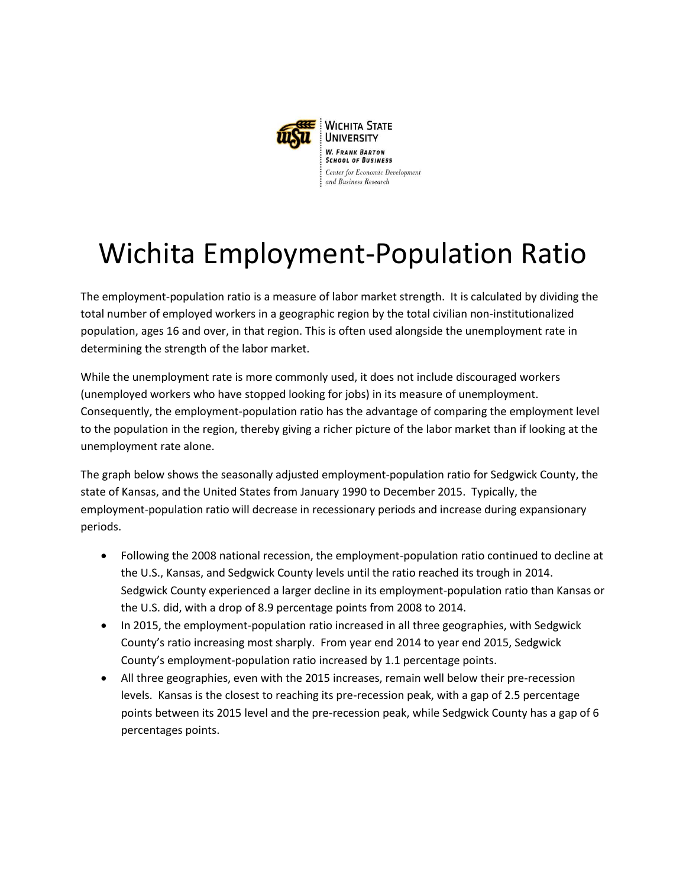

## Wichita Employment-Population Ratio

The employment-population ratio is a measure of labor market strength. It is calculated by dividing the total number of employed workers in a geographic region by the total civilian non-institutionalized population, ages 16 and over, in that region. This is often used alongside the unemployment rate in determining the strength of the labor market.

While the unemployment rate is more commonly used, it does not include discouraged workers (unemployed workers who have stopped looking for jobs) in its measure of unemployment. Consequently, the employment-population ratio has the advantage of comparing the employment level to the population in the region, thereby giving a richer picture of the labor market than if looking at the unemployment rate alone.

The graph below shows the seasonally adjusted employment-population ratio for Sedgwick County, the state of Kansas, and the United States from January 1990 to December 2015. Typically, the employment-population ratio will decrease in recessionary periods and increase during expansionary periods.

- Following the 2008 national recession, the employment-population ratio continued to decline at the U.S., Kansas, and Sedgwick County levels until the ratio reached its trough in 2014. Sedgwick County experienced a larger decline in its employment-population ratio than Kansas or the U.S. did, with a drop of 8.9 percentage points from 2008 to 2014.
- In 2015, the employment-population ratio increased in all three geographies, with Sedgwick County's ratio increasing most sharply. From year end 2014 to year end 2015, Sedgwick County's employment-population ratio increased by 1.1 percentage points.
- All three geographies, even with the 2015 increases, remain well below their pre-recession levels. Kansas is the closest to reaching its pre-recession peak, with a gap of 2.5 percentage points between its 2015 level and the pre-recession peak, while Sedgwick County has a gap of 6 percentages points.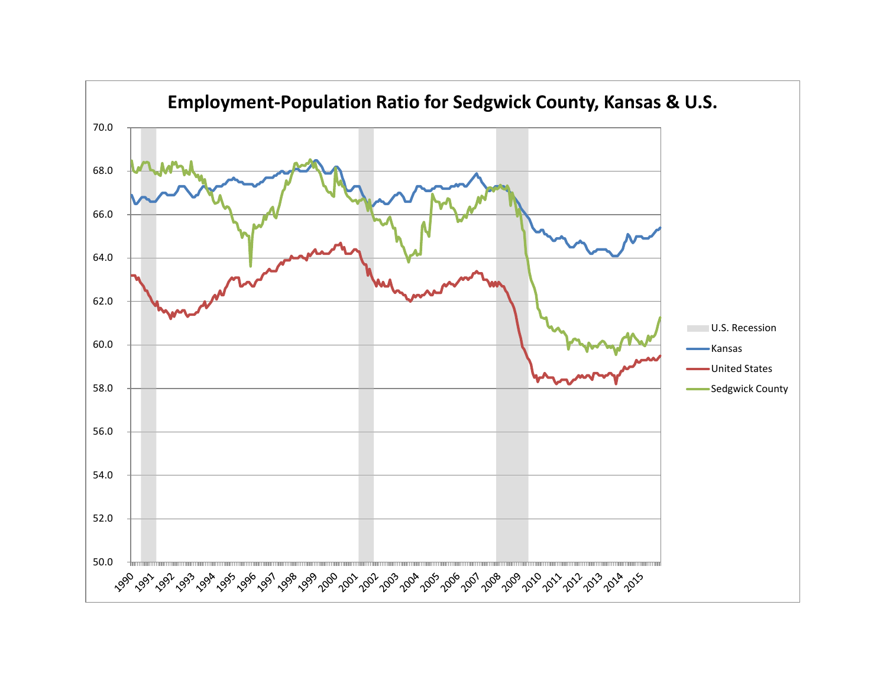